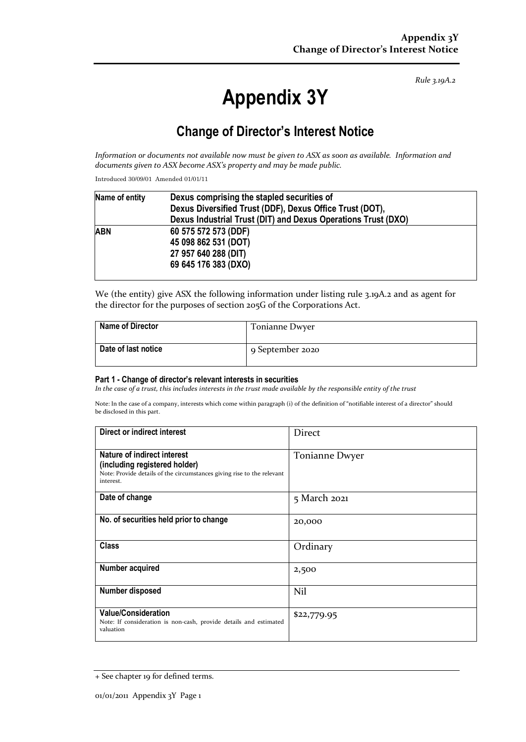*Rule 3.19A.2*

# **Appendix 3Y**

# **Change of Director's Interest Notice**

*Information or documents not available now must be given to ASX as soon as available. Information and documents given to ASX become ASX's property and may be made public.*

Introduced 30/09/01 Amended 01/01/11

| Name of entity | Dexus comprising the stapled securities of<br>Dexus Diversified Trust (DDF), Dexus Office Trust (DOT), |  |  |
|----------------|--------------------------------------------------------------------------------------------------------|--|--|
|                |                                                                                                        |  |  |
|                | Dexus Industrial Trust (DIT) and Dexus Operations Trust (DXO)                                          |  |  |
| <b>ABN</b>     | 60 575 572 573 (DDF)                                                                                   |  |  |
|                | 45 098 862 531 (DOT)                                                                                   |  |  |
|                | 27 957 640 288 (DIT)                                                                                   |  |  |
|                | 69 645 176 383 (DXO)                                                                                   |  |  |

We (the entity) give ASX the following information under listing rule 3.19A.2 and as agent for the director for the purposes of section 205G of the Corporations Act.

| <b>Name of Director</b> | Tonianne Dwyer   |
|-------------------------|------------------|
| Date of last notice     | 9 September 2020 |

#### **Part 1 - Change of director's relevant interests in securities**

*In the case of a trust, this includes interests in the trust made available by the responsible entity of the trust*

Note: In the case of a company, interests which come within paragraph (i) of the definition of "notifiable interest of a director" should be disclosed in this part.

| Direct or indirect interest                                                                                                                         | Direct         |
|-----------------------------------------------------------------------------------------------------------------------------------------------------|----------------|
| Nature of indirect interest<br>(including registered holder)<br>Note: Provide details of the circumstances giving rise to the relevant<br>interest. | Tonianne Dwyer |
| Date of change                                                                                                                                      | 5 March 2021   |
| No. of securities held prior to change                                                                                                              | 20,000         |
| <b>Class</b>                                                                                                                                        | Ordinary       |
| Number acquired                                                                                                                                     | 2,500          |
| Number disposed                                                                                                                                     | Nil            |
| <b>Value/Consideration</b><br>Note: If consideration is non-cash, provide details and estimated<br>valuation                                        | \$22,779.95    |

<sup>+</sup> See chapter 19 for defined terms.